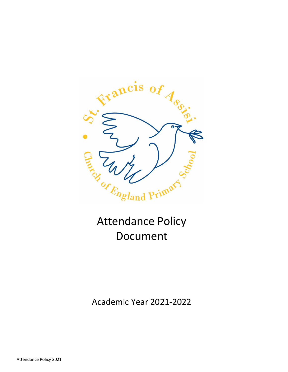

# Attendance Policy Document

Academic Year 2021-2022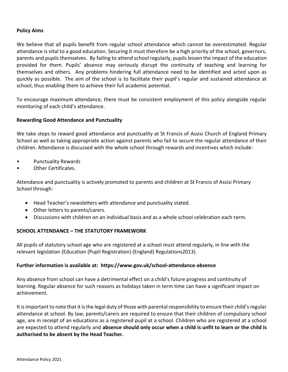#### **Policy Aims**

We believe that all pupils benefit from regular school attendance which cannot be overestimated. Regular attendance is vital to a good education. Securing it must therefore be a high priority of the school, governors, parents and pupils themselves. By failing to attend school regularly, pupils lessen the impact of the education provided for them. Pupils' absence may seriously disrupt the continuity of teaching and learning for themselves and others. Any problems hindering full attendance need to be identified and acted upon as quickly as possible. The aim of the school is to facilitate their pupil's regular and sustained attendance at school, thus enabling them to achieve their full academic potential.

To encourage maximum attendance, there must be consistent employment of this policy alongside regular monitoring of each child's attendance.

#### **Rewarding Good Attendance and Punctuality**

We take steps to reward good attendance and punctuality at St Francis of Assisi Church of England Primary School as well as taking appropriate action against parents who fail to secure the regular attendance of their children. Attendance is discussed with the whole school through rewards and incentives which include:

- Punctuality Rewards
- Other Certificates.

Attendance and punctuality is actively promoted to parents and children at St Francis of Assisi Primary School through:

- Head Teacher's newsletters with attendance and punctuality stated.
- Other letters to parents/carers.
- Discussions with children on an individual basis and as a whole school celebration each term.

## **SCHOOL ATTENDANCE – THE STATUTORY FRAMEWORK**

All pupils of statutory school age who are registered at a school must attend regularly, in line with the relevant legislation (Education (Pupil Registration) (England) Regulations2013).

#### **Further information is available at: <https://www.gov.uk/school-attendance-absence>**

Any absence from school can have a detrimental effect on a child's future progress and continuity of learning. Regular absence for such reasons as holidays taken in term time can have a significant impact on achievement.

It is important to note that it is the legal duty of those with parental responsibility to ensure their child's regular attendance at school. By law, parents/carers are required to ensure that their children of compulsory school age, are in receipt of an educations as a registered pupil at a school. Children who are registered at a school are expected to attend regularly and **absence should only occur when a child is unfit to learn or the child is authorised to be absent by the Head Teacher.**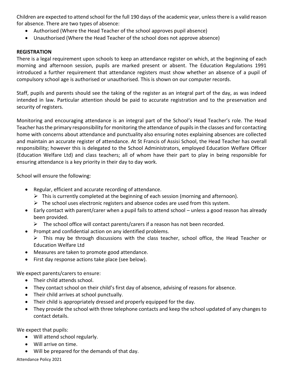Children are expected to attend school for the full 190 days of the academic year, unless there is a valid reason for absence. There are two types of absence:

- Authorised (Where the Head Teacher of the school approves pupil absence)
- Unauthorised (Where the Head Teacher of the school does not approve absence)

#### **REGISTRATION**

There is a legal requirement upon schools to keep an attendance register on which, at the beginning of each morning and afternoon session, pupils are marked present or absent. The Education Regulations 1991 introduced a further requirement that attendance registers must show whether an absence of a pupil of compulsory school age is authorised or unauthorised. This is shown on our computer records.

Staff, pupils and parents should see the taking of the register as an integral part of the day, as was indeed intended in law. Particular attention should be paid to accurate registration and to the preservation and security of registers.

Monitoring and encouraging attendance is an integral part of the School's Head Teacher's role. The Head Teacher has the primary responsibility for monitoring the attendance of pupils in the classes and for contacting home with concerns about attendance and punctuality also ensuring notes explaining absences are collected and maintain an accurate register of attendance. At St Francis of Assisi School, the Head Teacher has overall responsibility; however this is delegated to the School Administrators, employed Education Welfare Officer (Education Welfare Ltd) and class teachers; all of whom have their part to play in being responsible for ensuring attendance is a key priority in their day to day work.

School will ensure the following:

- Regular, efficient and accurate recording of attendance.
	- ➢ This is currently completed at the beginning of each session (morning and afternoon).
	- $\triangleright$  The school uses electronic registers and absence codes are used from this system.
- Early contact with parent/carer when a pupil fails to attend school unless a good reason has already been provided.
	- $\triangleright$  The school office will contact parents/carers if a reason has not been recorded.
- Prompt and confidential action on any identified problems.
	- $\triangleright$  This may be through discussions with the class teacher, school office, the Head Teacher or Education Welfare Ltd
- Measures are taken to promote good attendance.
- First day response actions take place (see below).

We expect parents/carers to ensure:

- Their child attends school.
- They contact school on their child's first day of absence, advising of reasons for absence.
- Their child arrives at school punctually.
- Their child is appropriately dressed and properly equipped for the day.
- They provide the school with three telephone contacts and keep the school updated of any changes to contact details.

We expect that pupils:

- Will attend school regularly.
- Will arrive on time.
- Will be prepared for the demands of that day.

Attendance Policy 2021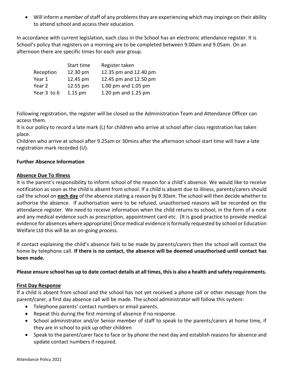• Will inform a member of staff of any problems they are experiencing which may impinge on their ability to attend school and access their education.

In accordance with current legislation, each class in the School has an electronic attendance register. It is School's policy that registers on a morning are to be completed between 9.00am and 9.05am. On an afternoon there are specific times for each year group.

|             | Start time | Register taken        |  |
|-------------|------------|-----------------------|--|
| Reception   | 12.30 pm   | 12.35 pm and 12.40 pm |  |
| Year 1      | 12.45 pm   | 12.45 pm and 12.50 pm |  |
| Year 2      | 12.55 pm   | 1.00 pm and 1.05 pm   |  |
| Year 3 to 6 | $1.15$ pm  | 1.20 pm and 1.25 pm   |  |

Following registration, the register will be closed so the Administration Team and Attendance Officer can access them.

It is our policy to record a late mark (L) for children who arrive at school after class registration has taken place.

Children who arrive at school after 9.25am or 30mins after the afternoon school start time will have a late registration mark recorded (U).

## **Further Absence Information**

#### **Absence Due To Illness**

It is the parent's responsibility to inform school of the reason for a child's absence. We would like to receive notification as soon as the child is absent from school. If a child is absent due to illness, parents/carers should call the school on **each day** of the absence stating a reason by 9.30am. The school will then decide whether to authorise the absence. If authorisation were to be refused, unauthorised reasons will be recorded on the attendance register. We need to receive information when the child returns to school, in the form of a note and any medical evidence such as prescription, appointment card etc. (It is good practice to provide medical evidence for absences where appropriate) Once medical evidence is formally requested by school or Education Welfare Ltd this will be an on-going process.

If contact explaining the child's absence fails to be made by parents/carers then the school will contact the home by telephone call. **If there is no contact, the absence will be deemed unauthorised until contact has been made.**

## **Please ensure school has up to date contact details at all times, this is also a health and safety requirements.**

#### **First Day Response**

If a child is absent from school and the school has not yet received a phone call or other message from the parent/carer, a first day absence call will be made. The school administrator will follow this system:

- Telephone parents' contact numbers or email parents.
- Repeat this during the first morning of absence if no response.
- School administrator and/or Senior member of staff to speak to the parents/carers at home time, if they are in school to pick up other children
- Speak to the parent/carer face to face or by phone the next day and establish reasons for absence and update contact numbers if required.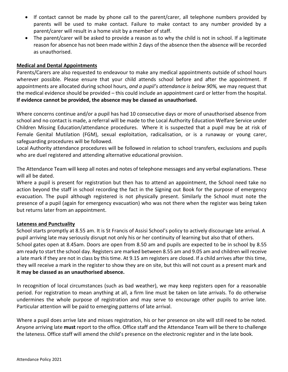- If contact cannot be made by phone call to the parent/carer, all telephone numbers provided by parents will be used to make contact. Failure to make contact to any number provided by a parent/carer will result in a home visit by a member of staff.
- The parent/carer will be asked to provide a reason as to why the child is not in school. If a legitimate reason for absence has not been made within 2 days of the absence then the absence will be recorded as unauthorised.

#### **Medical and Dental Appointments**

Parents/Carers are also requested to endeavour to make any medical appointments outside of school hours wherever possible. Please ensure that your child attends school before and after the appointment. If appointments are allocated during school hours, *and a pupil's attendance is below 90%,* we may request that the medical evidence should be provided – this could include an appointment card or letter from the hospital. **If evidence cannot be provided, the absence may be classed as unauthorised.**

Where concerns continue and/or a pupil has had 10 consecutive days or more of unauthorised absence from school and no contact is made, a referral will be made to the Local Authority Education Welfare Service under Children Missing Education/attendance procedures. Where it is suspected that a pupil may be at risk of Female Genital Mutilation (FGM), sexual exploitation, radicalisation, or is a runaway or young carer, safeguarding procedures will be followed.

Local Authority attendance procedures will be followed in relation to school transfers, exclusions and pupils who are duel registered and attending alternative educational provision.

The Attendance Team will keep all notes and notes of telephone messages and any verbal explanations. These will all be dated.

Where a pupil is present for registration but then has to attend an appointment, the School need take no action beyond the staff in school recording the fact in the Signing out Book for the purpose of emergency evacuation. The pupil although registered is not physically present. Similarly the School must note the presence of a pupil (again for emergency evacuation) who was not there when the register was being taken but returns later from an appointment.

#### **Lateness and Punctuality**

School starts promptly at 8.55 am. It is St Francis of Assisi School's policy to actively discourage late arrival. A pupil arriving late may seriously disrupt not only his or her continuity of learning but also that of others. School gates open at 8.45am. Doors are open from 8.50 am and pupils are expected to be in school by 8.55 am ready to start the school day. Registers are marked between 8.55 am and 9.05 am and children will receive a late mark if they are not in class by this time. At 9.15 am registers are closed. If a child arrives after this time, they will receive a mark in the register to show they are on site, but this will not count as a present mark and **it may be classed as an unauthorised absence.** 

In recognition of local circumstances (such as bad weather), we may keep registers open for a reasonable period. For registration to mean anything at all, a firm line must be taken on late arrivals. To do otherwise undermines the whole purpose of registration and may serve to encourage other pupils to arrive late. Particular attention will be paid to emerging patterns of late arrival.

Where a pupil does arrive late and misses registration, his or her presence on site will still need to be noted. Anyone arriving late **must** report to the office. Office staff and the Attendance Team will be there to challenge the lateness. Office staff will amend the child's presence on the electronic register and in the late book.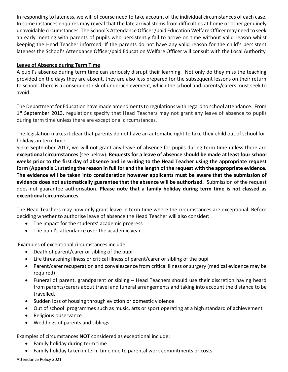In responding to lateness, we will of course need to take account of the individual circumstances of each case. In some instances enquires may reveal that the late arrival stems from difficulties at home or other genuinely unavoidable circumstances. The School's Attendance Officer /paid Education Welfare Officer may need to seek an early meeting with parents of pupils who persistently fail to arrive on time without valid reason whilst keeping the Head Teacher informed. If the parents do not have any valid reason for the child's persistent lateness the School's Attendance Officer/paid Education Welfare Officer will consult with the Local Authority

#### **Leave of Absence during Term Time**

A pupil's absence during term time can seriously disrupt their learning. Not only do they miss the teaching provided on the days they are absent, they are also less prepared for the subsequent lessons on their return to school. There is a consequent risk of underachievement, which the school and parents/carers must seek to avoid.

The Department for Education have made amendments to regulations with regard to school attendance. From 1<sup>st</sup> September 2013, regulations specify that Head Teachers may not grant any leave of absence to pupils during term time unless there are exceptional circumstances.

The legislation makes it clear that parents do not have an automatic right to take their child out of school for holidays in term time.

Since September 2017, we will not grant any leave of absence for pupils during term time unless there are **exceptional circumstances** (see below). **Requests for a leave of absence should be made at least four school weeks prior to the first day of absence and in writing to the Head Teacher using the appropriate request form (Appendix 1) stating the reason in full for and the length of the request with the appropriate evidence. The evidence will be taken into consideration however applicants must be aware that the submission of evidence does not automatically guarantee that the absence will be authorised.** Submission of the request does not guarantee authorisation. **Please note that a family holiday during term time is not classed as exceptional circumstances.**

The Head Teachers may now only grant leave in term time where the circumstances are exceptional. Before deciding whether to authorise leave of absence the Head Teacher will also consider:

- The impact for the students' academic progress
- The pupil's attendance over the academic year.

Examples of exceptional circumstances include:

- Death of parent/carer or sibling of the pupil
- Life threatening illness or critical illness of parent/carer or sibling of the pupil
- Parent/carer recuperation and convalescence from critical illness or surgery (medical evidence may be required)
- Funeral of parent, grandparent or sibling Head Teachers should use their discretion having heard from parents/carers about travel and funeral arrangements and taking into account the distance to be travelled.
- Sudden loss of housing through eviction or domestic violence
- Out of school programmes such as music, arts or sport operating at a high standard of achievement
- Religious observance
- Weddings of parents and siblings

Examples of circumstances **NOT** considered as exceptional include:

- Family holiday during term time
- Family holiday taken in term time due to parental work commitments or costs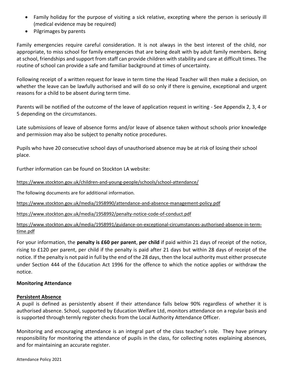- Family holiday for the purpose of visiting a sick relative, excepting where the person is seriously ill (medical evidence may be required)
- Pilgrimages by parents

Family emergencies require careful consideration. It is not always in the best interest of the child, nor appropriate, to miss school for family emergencies that are being dealt with by adult family members. Being at school, friendships and support from staff can provide children with stability and care at difficult times. The routine of school can provide a safe and familiar background at times of uncertainty.

Following receipt of a written request for leave in term time the Head Teacher will then make a decision, on whether the leave can be lawfully authorised and will do so only if there is genuine, exceptional and urgent reasons for a child to be absent during term time.

Parents will be notified of the outcome of the leave of application request in writing - See Appendix 2, 3, 4 or 5 depending on the circumstances.

Late submissions of leave of absence forms and/or leave of absence taken without schools prior knowledge and permission may also be subject to penalty notice procedures.

Pupils who have 20 consecutive school days of unauthorised absence may be at risk of losing their school place.

Further information can be found on Stockton LA website:

<https://www.stockton.gov.uk/children-and-young-people/schools/school-attendance/>

The following documents are for additional information.

<https://www.stockton.gov.uk/media/1958990/attendance-and-absence-management-policy.pdf>

<https://www.stockton.gov.uk/media/1958992/penalty-notice-code-of-conduct.pdf>

[https://www.stockton.gov.uk/media/1958991/guidance-on-exceptional-circumstances-authorised-absence-in-term](https://www.stockton.gov.uk/media/1958991/guidance-on-exceptional-circumstances-authorised-absence-in-term-time.pdf)[time.pdf](https://www.stockton.gov.uk/media/1958991/guidance-on-exceptional-circumstances-authorised-absence-in-term-time.pdf)

For your information, the **penalty is £60 per parent**, **per child** if paid within 21 days of receipt of the notice, rising to £120 per parent, per child if the penalty is paid after 21 days but within 28 days of receipt of the notice. If the penalty is not paid in full by the end of the 28 days, then the local authority must either prosecute under Section 444 of the Education Act 1996 for the offence to which the notice applies or withdraw the notice.

#### **Monitoring Attendance**

#### **Persistent Absence**

A pupil is defined as persistently absent if their attendance falls below 90% regardless of whether it is authorised absence. School, supported by Education Welfare Ltd, monitors attendance on a regular basis and is supported through termly register checks from the Local Authority Attendance Officer.

Monitoring and encouraging attendance is an integral part of the class teacher's role. They have primary responsibility for monitoring the attendance of pupils in the class, for collecting notes explaining absences, and for maintaining an accurate register.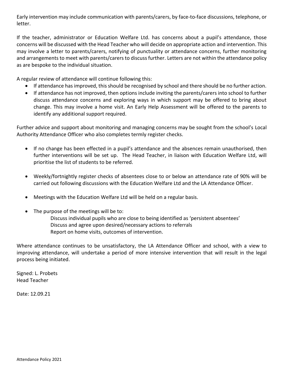Early intervention may include communication with parents/carers, by face-to-face discussions, telephone, or letter.

If the teacher, administrator or Education Welfare Ltd. has concerns about a pupil's attendance, those concerns will be discussed with the Head Teacher who will decide on appropriate action and intervention. This may involve a letter to parents/carers, notifying of punctuality or attendance concerns, further monitoring and arrangements to meet with parents/carers to discuss further. Letters are not within the attendance policy as are bespoke to the individual situation.

A regular review of attendance will continue following this:

- If attendance has improved, this should be recognised by school and there should be no further action.
- If attendance has not improved, then options include inviting the parents/carers into school to further discuss attendance concerns and exploring ways in which support may be offered to bring about change. This may involve a home visit. An Early Help Assessment will be offered to the parents to identify any additional support required.

Further advice and support about monitoring and managing concerns may be sought from the school's Local Authority Attendance Officer who also completes termly register checks.

- If no change has been effected in a pupil's attendance and the absences remain unauthorised, then further interventions will be set up. The Head Teacher, in liaison with Education Welfare Ltd, will prioritise the list of students to be referred.
- Weekly/fortnightly register checks of absentees close to or below an attendance rate of 90% will be carried out following discussions with the Education Welfare Ltd and the LA Attendance Officer.
- Meetings with the Education Welfare Ltd will be held on a regular basis.
- The purpose of the meetings will be to:

Discuss individual pupils who are close to being identified as 'persistent absentees' Discuss and agree upon desired/necessary actions to referrals Report on home visits, outcomes of intervention.

Where attendance continues to be unsatisfactory, the LA Attendance Officer and school, with a view to improving attendance, will undertake a period of more intensive intervention that will result in the legal process being initiated.

Signed: L. Probets Head Teacher

Date: 12.09.21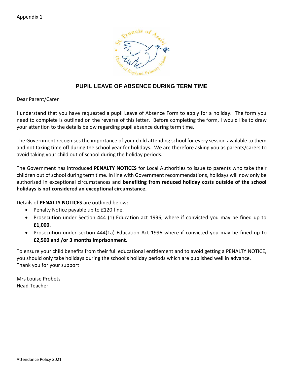

# **PUPIL LEAVE OF ABSENCE DURING TERM TIME**

Dear Parent/Carer

I understand that you have requested a pupil Leave of Absence Form to apply for a holiday. The form you need to complete is outlined on the reverse of this letter. Before completing the form, I would like to draw your attention to the details below regarding pupil absence during term time.

The Government recognises the importance of your child attending school for every session available to them and not taking time off during the school year for holidays. We are therefore asking you as parents/carers to avoid taking your child out of school during the holiday periods.

The Government has introduced **PENALTY NOTICES** for Local Authorities to issue to parents who take their children out of school during term time. In line with Government recommendations, holidays will now only be authorised in exceptional circumstances and **benefiting from reduced holiday costs outside of the school holidays is not considered an exceptional circumstance.**

Details of **PENALTY NOTICES** are outlined below:

- Penalty Notice payable up to £120 fine.
- Prosecution under Section 444 (1) Education act 1996, where if convicted you may be fined up to **£1,000.**
- Prosecution under section 444(1a) Education Act 1996 where if convicted you may be fined up to **£2,500 and /or 3 months imprisonment.**

To ensure your child benefits from their full educational entitlement and to avoid getting a PENALTY NOTICE, you should only take holidays during the school's holiday periods which are published well in advance. Thank you for your support

Mrs Louise Probets Head Teacher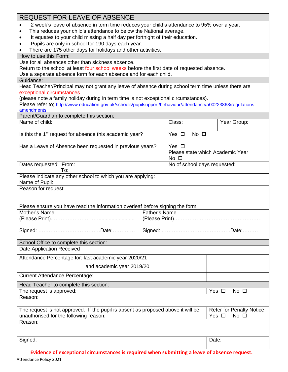| <b>REQUEST FOR LEAVE OF ABSENCE</b>                                                                           |                                 |                                  |             |  |  |
|---------------------------------------------------------------------------------------------------------------|---------------------------------|----------------------------------|-------------|--|--|
| 2 week's leave of absence in term time reduces your child's attendance to 95% over a year.                    |                                 |                                  |             |  |  |
| This reduces your child's attendance to below the National average.                                           |                                 |                                  |             |  |  |
| It equates to your child missing a half day per fortnight of their education.                                 |                                 |                                  |             |  |  |
| Pupils are only in school for 190 days each year.                                                             |                                 |                                  |             |  |  |
| There are 175 other days for holidays and other activities.                                                   |                                 |                                  |             |  |  |
| How to use this Form:                                                                                         |                                 |                                  |             |  |  |
| Use for all absences other than sickness absence.                                                             |                                 |                                  |             |  |  |
| Return to the school at least four school weeks before the first date of requested absence.                   |                                 |                                  |             |  |  |
| Use a separate absence form for each absence and for each child.                                              |                                 |                                  |             |  |  |
| Guidance:                                                                                                     |                                 |                                  |             |  |  |
| Head Teacher/Principal may not grant any leave of absence during school term time unless there are            |                                 |                                  |             |  |  |
| exceptional circumstances                                                                                     |                                 |                                  |             |  |  |
| (please note a family holiday during in term time is not exceptional circumstances).                          |                                 |                                  |             |  |  |
| Please refer to; http://www.education.gov.uk/schools/pupilsupport/behaviour/attendance/a00223868/regulations- |                                 |                                  |             |  |  |
| amendments                                                                                                    |                                 |                                  |             |  |  |
| Parent/Guardian to complete this section:                                                                     |                                 |                                  |             |  |  |
| Name of child:                                                                                                |                                 | Class:                           | Year Group: |  |  |
|                                                                                                               |                                 |                                  |             |  |  |
| Is this the 1 <sup>st</sup> request for absence this academic year?                                           |                                 | No $\square$<br>Yes $\Box$       |             |  |  |
| Has a Leave of Absence been requested in previous years?                                                      |                                 | Yes $\Box$                       |             |  |  |
|                                                                                                               |                                 | Please state which Academic Year |             |  |  |
|                                                                                                               |                                 | $No$ $\Box$                      |             |  |  |
| Dates requested: From:                                                                                        |                                 | No of school days requested:     |             |  |  |
| To:                                                                                                           |                                 |                                  |             |  |  |
| Please indicate any other school to which you are applying:                                                   |                                 |                                  |             |  |  |
| Name of Pupil:                                                                                                |                                 |                                  |             |  |  |
| Reason for request:                                                                                           |                                 |                                  |             |  |  |
|                                                                                                               |                                 |                                  |             |  |  |
|                                                                                                               |                                 |                                  |             |  |  |
| Please ensure you have read the information overleaf before signing the form.                                 |                                 |                                  |             |  |  |
| Mother's Name                                                                                                 | <b>Father's Name</b>            |                                  |             |  |  |
| (Please Print).                                                                                               | (Please Print)                  |                                  |             |  |  |
|                                                                                                               |                                 |                                  |             |  |  |
|                                                                                                               |                                 |                                  |             |  |  |
|                                                                                                               |                                 |                                  |             |  |  |
| School Office to complete this section:                                                                       |                                 |                                  |             |  |  |
| <b>Date Application Received</b>                                                                              |                                 |                                  |             |  |  |
|                                                                                                               |                                 |                                  |             |  |  |
| Attendance Percentage for: last academic year 2020/21                                                         |                                 |                                  |             |  |  |
| and academic year 2019/20                                                                                     |                                 |                                  |             |  |  |
|                                                                                                               |                                 |                                  |             |  |  |
| <b>Current Attendance Percentage:</b>                                                                         |                                 |                                  |             |  |  |
| Head Teacher to complete this section:                                                                        |                                 |                                  |             |  |  |
| The request is approved:                                                                                      | Yes $\Box$<br>No $\square$      |                                  |             |  |  |
| Reason:                                                                                                       |                                 |                                  |             |  |  |
|                                                                                                               |                                 |                                  |             |  |  |
| The request is not approved. If the pupil is absent as proposed above it will be                              | <b>Refer for Penalty Notice</b> |                                  |             |  |  |
| unauthorised for the following reason:                                                                        | Yes $\Box$<br>$No$ $\square$    |                                  |             |  |  |
| Reason:                                                                                                       |                                 |                                  |             |  |  |
|                                                                                                               |                                 |                                  |             |  |  |
|                                                                                                               |                                 |                                  |             |  |  |
| Signed:                                                                                                       |                                 |                                  | Date:       |  |  |
|                                                                                                               |                                 |                                  |             |  |  |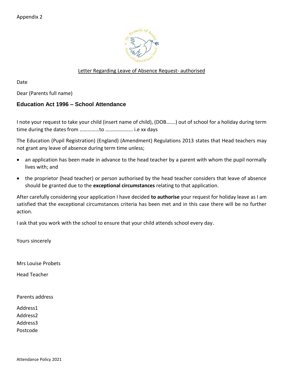

## Letter Regarding Leave of Absence Request- authorised

Date

Dear (Parents full name)

## **Education Act 1996 – School Attendance**

I note your request to take your child (insert name of child), (DOB…….) out of school for a holiday during term time during the dates from ……………to ………………... i.e xx days

The Education (Pupil Registration) (England) (Amendment) Regulations 2013 states that Head teachers may not grant any leave of absence during term time unless;

- an application has been made in advance to the head teacher by a parent with whom the pupil normally lives with; and
- the proprietor (head teacher) or person authorised by the head teacher considers that leave of absence should be granted due to the **exceptional circumstances** relating to that application.

After carefully considering your application I have decided **to authorise** your request for holiday leave as I am satisfied that the exceptional circumstances criteria has been met and in this case there will be no further action.

I ask that you work with the school to ensure that your child attends school every day.

Yours sincerely

Mrs Louise Probets

Head Teacher

Parents address

Address1 Address2

Address3

Postcode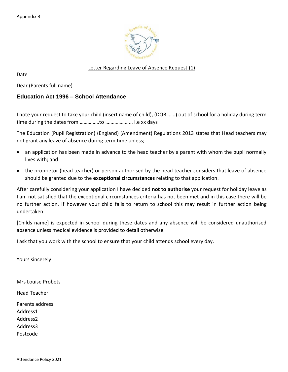

# Letter Regarding Leave of Absence Request (1)

Date

Dear (Parents full name)

## **Education Act 1996 – School Attendance**

I note your request to take your child (insert name of child), (DOB…….) out of school for a holiday during term time during the dates from ……………to ………………... i.e xx days

The Education (Pupil Registration) (England) (Amendment) Regulations 2013 states that Head teachers may not grant any leave of absence during term time unless;

- an application has been made in advance to the head teacher by a parent with whom the pupil normally lives with; and
- the proprietor (head teacher) or person authorised by the head teacher considers that leave of absence should be granted due to the **exceptional circumstances** relating to that application.

After carefully considering your application I have decided **not to authorise** your request for holiday leave as I am not satisfied that the exceptional circumstances criteria has not been met and in this case there will be no further action. If however your child fails to return to school this may result in further action being undertaken.

[Childs name] is expected in school during these dates and any absence will be considered unauthorised absence unless medical evidence is provided to detail otherwise.

I ask that you work with the school to ensure that your child attends school every day.

Yours sincerely

Mrs Louise Probets

Head Teacher

Parents address

Address1

Address2

Address3

Postcode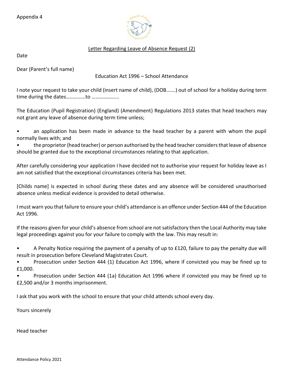Appendix 4



## Letter Regarding Leave of Absence Request (2)

Date

Dear (Parent's full name)

## Education Act 1996 – School Attendance

I note your request to take your child (insert name of child), (DOB…….) out of school for a holiday during term time during the dates……………to ………………...

The Education (Pupil Registration) (England) (Amendment) Regulations 2013 states that head teachers may not grant any leave of absence during term time unless;

• an application has been made in advance to the head teacher by a parent with whom the pupil normally lives with; and

• the proprietor (head teacher) or person authorised by the head teacher considers that leave of absence should be granted due to the exceptional circumstances relating to that application.

After carefully considering your application I have decided not to authorise your request for holiday leave as I am not satisfied that the exceptional circumstances criteria has been met.

[Childs name] is expected in school during these dates and any absence will be considered unauthorised absence unless medical evidence is provided to detail otherwise.

I must warn you that failure to ensure your child's attendance is an offence under Section 444 of the Education Act 1996.

If the reasons given for your child's absence from school are not satisfactory then the Local Authority may take legal proceedings against you for your failure to comply with the law. This may result in:

• A Penalty Notice requiring the payment of a penalty of up to £120, failure to pay the penalty due will result in prosecution before Cleveland Magistrates Court.

• Prosecution under Section 444 (1) Education Act 1996, where if convicted you may be fined up to £1,000.

• Prosecution under Section 444 (1a) Education Act 1996 where if convicted you may be fined up to £2,500 and/or 3 months imprisonment.

I ask that you work with the school to ensure that your child attends school every day.

Yours sincerely

Head teacher